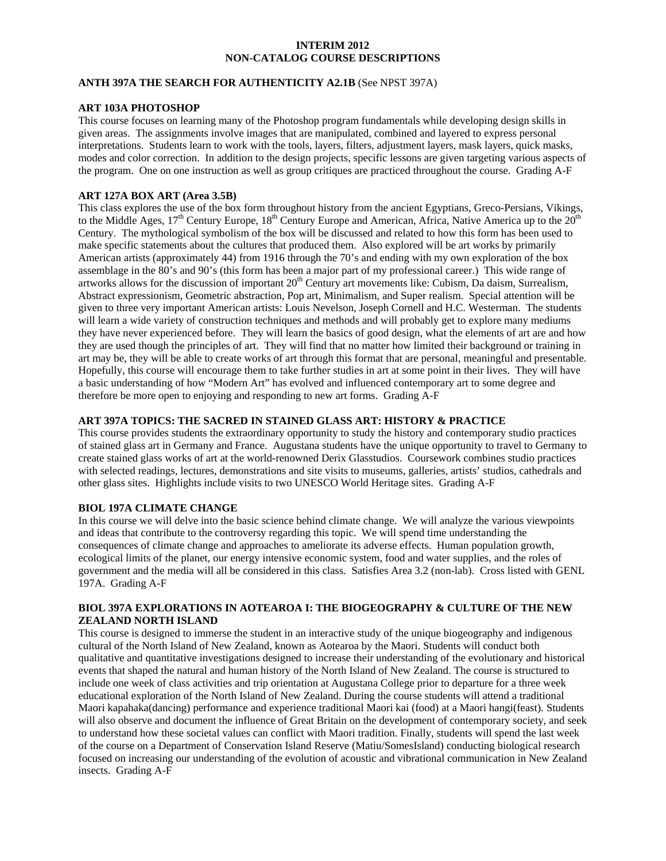# **INTERIM 2012 NON-CATALOG COURSE DESCRIPTIONS**

## **ANTH 397A THE SEARCH FOR AUTHENTICITY A2.1B** (See NPST 397A)

## **ART 103A PHOTOSHOP**

This course focuses on learning many of the Photoshop program fundamentals while developing design skills in given areas. The assignments involve images that are manipulated, combined and layered to express personal interpretations. Students learn to work with the tools, layers, filters, adjustment layers, mask layers, quick masks, modes and color correction. In addition to the design projects, specific lessons are given targeting various aspects of the program. One on one instruction as well as group critiques are practiced throughout the course. Grading A-F

## **ART 127A BOX ART (Area 3.5B)**

This class explores the use of the box form throughout history from the ancient Egyptians, Greco-Persians, Vikings, to the Middle Ages,  $17<sup>th</sup>$  Century Europe,  $18<sup>th</sup>$  Century Europe and American, Africa, Native America up to the  $20<sup>th</sup>$ Century. The mythological symbolism of the box will be discussed and related to how this form has been used to make specific statements about the cultures that produced them. Also explored will be art works by primarily American artists (approximately 44) from 1916 through the 70's and ending with my own exploration of the box assemblage in the 80's and 90's (this form has been a major part of my professional career.) This wide range of artworks allows for the discussion of important 20<sup>th</sup> Century art movements like: Cubism, Da daism, Surrealism, Abstract expressionism, Geometric abstraction, Pop art, Minimalism, and Super realism. Special attention will be given to three very important American artists: Louis Nevelson, Joseph Cornell and H.C. Westerman. The students will learn a wide variety of construction techniques and methods and will probably get to explore many mediums they have never experienced before. They will learn the basics of good design, what the elements of art are and how they are used though the principles of art. They will find that no matter how limited their background or training in art may be, they will be able to create works of art through this format that are personal, meaningful and presentable. Hopefully, this course will encourage them to take further studies in art at some point in their lives. They will have a basic understanding of how "Modern Art" has evolved and influenced contemporary art to some degree and therefore be more open to enjoying and responding to new art forms. Grading A-F

## **ART 397A TOPICS: THE SACRED IN STAINED GLASS ART: HISTORY & PRACTICE**

This course provides students the extraordinary opportunity to study the history and contemporary studio practices of stained glass art in Germany and France. Augustana students have the unique opportunity to travel to Germany to create stained glass works of art at the world-renowned Derix Glasstudios. Coursework combines studio practices with selected readings, lectures, demonstrations and site visits to museums, galleries, artists' studios, cathedrals and other glass sites. Highlights include visits to two UNESCO World Heritage sites. Grading A-F

# **BIOL 197A CLIMATE CHANGE**

In this course we will delve into the basic science behind climate change. We will analyze the various viewpoints and ideas that contribute to the controversy regarding this topic. We will spend time understanding the consequences of climate change and approaches to ameliorate its adverse effects. Human population growth, ecological limits of the planet, our energy intensive economic system, food and water supplies, and the roles of government and the media will all be considered in this class. Satisfies Area 3.2 (non-lab). Cross listed with GENL 197A. Grading A-F

# **BIOL 397A EXPLORATIONS IN AOTEAROA I: THE BIOGEOGRAPHY & CULTURE OF THE NEW ZEALAND NORTH ISLAND**

This course is designed to immerse the student in an interactive study of the unique biogeography and indigenous cultural of the North Island of New Zealand, known as Aotearoa by the Maori. Students will conduct both qualitative and quantitative investigations designed to increase their understanding of the evolutionary and historical events that shaped the natural and human history of the North Island of New Zealand. The course is structured to include one week of class activities and trip orientation at Augustana College prior to departure for a three week educational exploration of the North Island of New Zealand. During the course students will attend a traditional Maori kapahaka(dancing) performance and experience traditional Maori kai (food) at a Maori hangi(feast). Students will also observe and document the influence of Great Britain on the development of contemporary society, and seek to understand how these societal values can conflict with Maori tradition. Finally, students will spend the last week of the course on a Department of Conservation Island Reserve (Matiu/SomesIsland) conducting biological research focused on increasing our understanding of the evolution of acoustic and vibrational communication in New Zealand insects. Grading A-F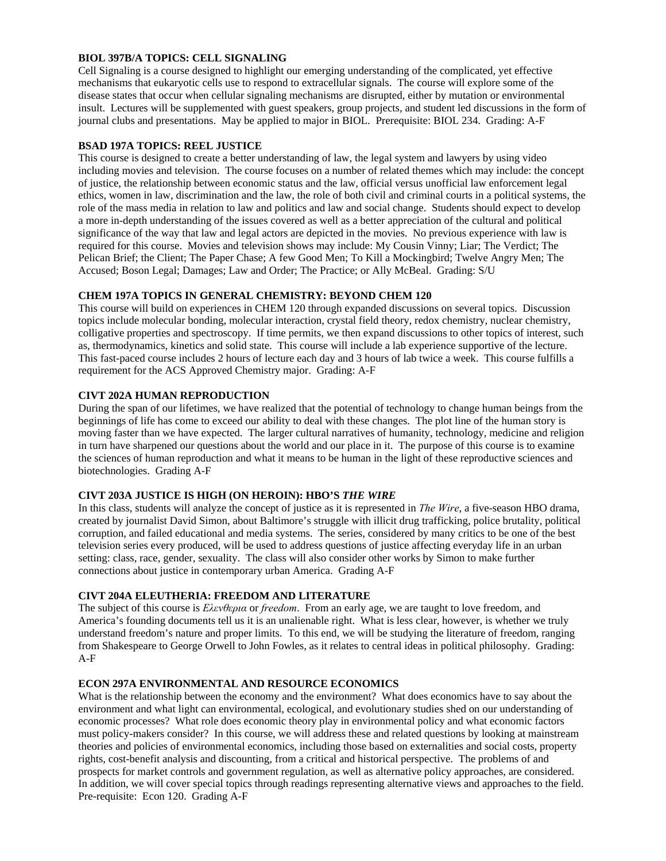# **BIOL 397B/A TOPICS: CELL SIGNALING**

Cell Signaling is a course designed to highlight our emerging understanding of the complicated, yet effective mechanisms that eukaryotic cells use to respond to extracellular signals. The course will explore some of the disease states that occur when cellular signaling mechanisms are disrupted, either by mutation or environmental insult. Lectures will be supplemented with guest speakers, group projects, and student led discussions in the form of journal clubs and presentations. May be applied to major in BIOL. Prerequisite: BIOL 234. Grading: A-F

#### **BSAD 197A TOPICS: REEL JUSTICE**

This course is designed to create a better understanding of law, the legal system and lawyers by using video including movies and television. The course focuses on a number of related themes which may include: the concept of justice, the relationship between economic status and the law, official versus unofficial law enforcement legal ethics, women in law, discrimination and the law, the role of both civil and criminal courts in a political systems, the role of the mass media in relation to law and politics and law and social change. Students should expect to develop a more in-depth understanding of the issues covered as well as a better appreciation of the cultural and political significance of the way that law and legal actors are depicted in the movies. No previous experience with law is required for this course. Movies and television shows may include: My Cousin Vinny; Liar; The Verdict; The Pelican Brief; the Client; The Paper Chase; A few Good Men; To Kill a Mockingbird; Twelve Angry Men; The Accused; Boson Legal; Damages; Law and Order; The Practice; or Ally McBeal. Grading: S/U

## **CHEM 197A TOPICS IN GENERAL CHEMISTRY: BEYOND CHEM 120**

This course will build on experiences in CHEM 120 through expanded discussions on several topics. Discussion topics include molecular bonding, molecular interaction, crystal field theory, redox chemistry, nuclear chemistry, colligative properties and spectroscopy. If time permits, we then expand discussions to other topics of interest, such as, thermodynamics, kinetics and solid state. This course will include a lab experience supportive of the lecture. This fast-paced course includes 2 hours of lecture each day and 3 hours of lab twice a week. This course fulfills a requirement for the ACS Approved Chemistry major. Grading: A-F

## **CIVT 202A HUMAN REPRODUCTION**

During the span of our lifetimes, we have realized that the potential of technology to change human beings from the beginnings of life has come to exceed our ability to deal with these changes. The plot line of the human story is moving faster than we have expected. The larger cultural narratives of humanity, technology, medicine and religion in turn have sharpened our questions about the world and our place in it. The purpose of this course is to examine the sciences of human reproduction and what it means to be human in the light of these reproductive sciences and biotechnologies. Grading A-F

#### **CIVT 203A JUSTICE IS HIGH (ON HEROIN): HBO'S** *THE WIRE*

In this class, students will analyze the concept of justice as it is represented in *The Wire*, a five-season HBO drama, created by journalist David Simon, about Baltimore's struggle with illicit drug trafficking, police brutality, political corruption, and failed educational and media systems. The series, considered by many critics to be one of the best television series every produced, will be used to address questions of justice affecting everyday life in an urban setting: class, race, gender, sexuality. The class will also consider other works by Simon to make further connections about justice in contemporary urban America. Grading A-F

## **CIVT 204A ELEUTHERIA: FREEDOM AND LITERATURE**

The subject of this course is *Eλενθερια* or *freedom*. From an early age, we are taught to love freedom, and America's founding documents tell us it is an unalienable right. What is less clear, however, is whether we truly understand freedom's nature and proper limits. To this end, we will be studying the literature of freedom, ranging from Shakespeare to George Orwell to John Fowles, as it relates to central ideas in political philosophy. Grading: A-F

#### **ECON 297A ENVIRONMENTAL AND RESOURCE ECONOMICS**

What is the relationship between the economy and the environment? What does economics have to say about the environment and what light can environmental, ecological, and evolutionary studies shed on our understanding of economic processes? What role does economic theory play in environmental policy and what economic factors must policy-makers consider? In this course, we will address these and related questions by looking at mainstream theories and policies of environmental economics, including those based on externalities and social costs, property rights, cost-benefit analysis and discounting, from a critical and historical perspective. The problems of and prospects for market controls and government regulation, as well as alternative policy approaches, are considered. In addition, we will cover special topics through readings representing alternative views and approaches to the field. Pre-requisite: Econ 120. Grading A-F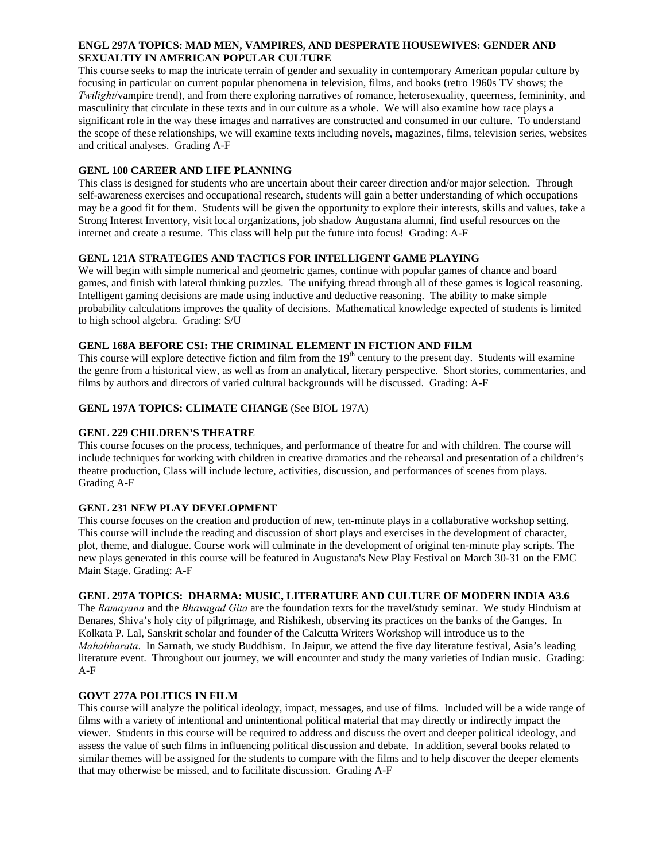# **ENGL 297A TOPICS: MAD MEN, VAMPIRES, AND DESPERATE HOUSEWIVES: GENDER AND SEXUALTIY IN AMERICAN POPULAR CULTURE**

This course seeks to map the intricate terrain of gender and sexuality in contemporary American popular culture by focusing in particular on current popular phenomena in television, films, and books (retro 1960s TV shows; the *Twilight*/vampire trend), and from there exploring narratives of romance, heterosexuality, queerness, femininity, and masculinity that circulate in these texts and in our culture as a whole. We will also examine how race plays a significant role in the way these images and narratives are constructed and consumed in our culture. To understand the scope of these relationships, we will examine texts including novels, magazines, films, television series, websites and critical analyses. Grading A-F

# **GENL 100 CAREER AND LIFE PLANNING**

This class is designed for students who are uncertain about their career direction and/or major selection. Through self-awareness exercises and occupational research, students will gain a better understanding of which occupations may be a good fit for them. Students will be given the opportunity to explore their interests, skills and values, take a Strong Interest Inventory, visit local organizations, job shadow Augustana alumni, find useful resources on the internet and create a resume. This class will help put the future into focus! Grading: A-F

# **GENL 121A STRATEGIES AND TACTICS FOR INTELLIGENT GAME PLAYING**

We will begin with simple numerical and geometric games, continue with popular games of chance and board games, and finish with lateral thinking puzzles. The unifying thread through all of these games is logical reasoning. Intelligent gaming decisions are made using inductive and deductive reasoning. The ability to make simple probability calculations improves the quality of decisions. Mathematical knowledge expected of students is limited to high school algebra. Grading: S/U

# **GENL 168A BEFORE CSI: THE CRIMINAL ELEMENT IN FICTION AND FILM**

This course will explore detective fiction and film from the 19<sup>th</sup> century to the present day. Students will examine the genre from a historical view, as well as from an analytical, literary perspective. Short stories, commentaries, and films by authors and directors of varied cultural backgrounds will be discussed. Grading: A-F

# **GENL 197A TOPICS: CLIMATE CHANGE** (See BIOL 197A)

# **GENL 229 CHILDREN'S THEATRE**

This course focuses on the process, techniques, and performance of theatre for and with children. The course will include techniques for working with children in creative dramatics and the rehearsal and presentation of a children's theatre production, Class will include lecture, activities, discussion, and performances of scenes from plays. Grading A-F

# **GENL 231 NEW PLAY DEVELOPMENT**

This course focuses on the creation and production of new, ten-minute plays in a collaborative workshop setting. This course will include the reading and discussion of short plays and exercises in the development of character, plot, theme, and dialogue. Course work will culminate in the development of original ten-minute play scripts. The new plays generated in this course will be featured in Augustana's New Play Festival on March 30-31 on the EMC Main Stage. Grading: A-F

# **GENL 297A TOPICS: DHARMA: MUSIC, LITERATURE AND CULTURE OF MODERN INDIA A3.6**

The *Ramayana* and the *Bhavagad Gita* are the foundation texts for the travel/study seminar. We study Hinduism at Benares, Shiva's holy city of pilgrimage, and Rishikesh, observing its practices on the banks of the Ganges. In Kolkata P. Lal, Sanskrit scholar and founder of the Calcutta Writers Workshop will introduce us to the *Mahabharata*. In Sarnath, we study Buddhism. In Jaipur, we attend the five day literature festival, Asia's leading literature event. Throughout our journey, we will encounter and study the many varieties of Indian music. Grading: A-F

# **GOVT 277A POLITICS IN FILM**

This course will analyze the political ideology, impact, messages, and use of films. Included will be a wide range of films with a variety of intentional and unintentional political material that may directly or indirectly impact the viewer. Students in this course will be required to address and discuss the overt and deeper political ideology, and assess the value of such films in influencing political discussion and debate. In addition, several books related to similar themes will be assigned for the students to compare with the films and to help discover the deeper elements that may otherwise be missed, and to facilitate discussion. Grading A-F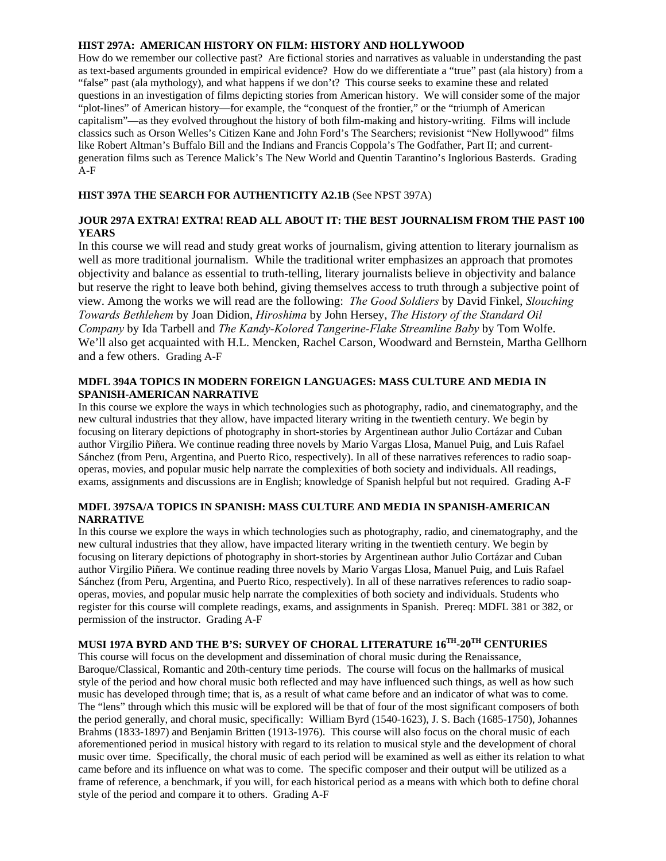## **HIST 297A: AMERICAN HISTORY ON FILM: HISTORY AND HOLLYWOOD**

How do we remember our collective past? Are fictional stories and narratives as valuable in understanding the past as text-based arguments grounded in empirical evidence? How do we differentiate a "true" past (ala history) from a "false" past (ala mythology), and what happens if we don't? This course seeks to examine these and related questions in an investigation of films depicting stories from American history. We will consider some of the major "plot-lines" of American history—for example, the "conquest of the frontier," or the "triumph of American capitalism"—as they evolved throughout the history of both film-making and history-writing. Films will include classics such as Orson Welles's Citizen Kane and John Ford's The Searchers; revisionist "New Hollywood" films like Robert Altman's Buffalo Bill and the Indians and Francis Coppola's The Godfather, Part II; and currentgeneration films such as Terence Malick's The New World and Quentin Tarantino's Inglorious Basterds. Grading A-F

# **HIST 397A THE SEARCH FOR AUTHENTICITY A2.1B** (See NPST 397A)

# **JOUR 297A EXTRA! EXTRA! READ ALL ABOUT IT: THE BEST JOURNALISM FROM THE PAST 100 YEARS**

In this course we will read and study great works of journalism, giving attention to literary journalism as well as more traditional journalism. While the traditional writer emphasizes an approach that promotes objectivity and balance as essential to truth-telling, literary journalists believe in objectivity and balance but reserve the right to leave both behind, giving themselves access to truth through a subjective point of view. Among the works we will read are the following: *The Good Soldiers* by David Finkel, *Slouching Towards Bethlehem* by Joan Didion, *Hiroshima* by John Hersey, *The History of the Standard Oil Company* by Ida Tarbell and *The Kandy-Kolored Tangerine-Flake Streamline Baby* by Tom Wolfe. We'll also get acquainted with H.L. Mencken, Rachel Carson, Woodward and Bernstein, Martha Gellhorn and a few others. Grading A-F

## **MDFL 394A TOPICS IN MODERN FOREIGN LANGUAGES: MASS CULTURE AND MEDIA IN SPANISH-AMERICAN NARRATIVE**

In this course we explore the ways in which technologies such as photography, radio, and cinematography, and the new cultural industries that they allow, have impacted literary writing in the twentieth century. We begin by focusing on literary depictions of photography in short-stories by Argentinean author Julio Cortázar and Cuban author Virgilio Piñera. We continue reading three novels by Mario Vargas Llosa, Manuel Puig, and Luis Rafael Sánchez (from Peru, Argentina, and Puerto Rico, respectively). In all of these narratives references to radio soapoperas, movies, and popular music help narrate the complexities of both society and individuals. All readings, exams, assignments and discussions are in English; knowledge of Spanish helpful but not required. Grading A-F

# **MDFL 397SA/A TOPICS IN SPANISH: MASS CULTURE AND MEDIA IN SPANISH-AMERICAN NARRATIVE**

In this course we explore the ways in which technologies such as photography, radio, and cinematography, and the new cultural industries that they allow, have impacted literary writing in the twentieth century. We begin by focusing on literary depictions of photography in short-stories by Argentinean author Julio Cortázar and Cuban author Virgilio Piñera. We continue reading three novels by Mario Vargas Llosa, Manuel Puig, and Luis Rafael Sánchez (from Peru, Argentina, and Puerto Rico, respectively). In all of these narratives references to radio soapoperas, movies, and popular music help narrate the complexities of both society and individuals. Students who register for this course will complete readings, exams, and assignments in Spanish. Prereq: MDFL 381 or 382, or permission of the instructor. Grading A-F

# **MUSI 197A BYRD AND THE B'S: SURVEY OF CHORAL LITERATURE 16TH-20TH CENTURIES**

This course will focus on the development and dissemination of choral music during the Renaissance, Baroque/Classical, Romantic and 20th-century time periods. The course will focus on the hallmarks of musical style of the period and how choral music both reflected and may have influenced such things, as well as how such music has developed through time; that is, as a result of what came before and an indicator of what was to come. The "lens" through which this music will be explored will be that of four of the most significant composers of both the period generally, and choral music, specifically: William Byrd (1540-1623), J. S. Bach (1685-1750), Johannes Brahms (1833-1897) and Benjamin Britten (1913-1976). This course will also focus on the choral music of each aforementioned period in musical history with regard to its relation to musical style and the development of choral music over time. Specifically, the choral music of each period will be examined as well as either its relation to what came before and its influence on what was to come. The specific composer and their output will be utilized as a frame of reference, a benchmark, if you will, for each historical period as a means with which both to define choral style of the period and compare it to others. Grading A-F